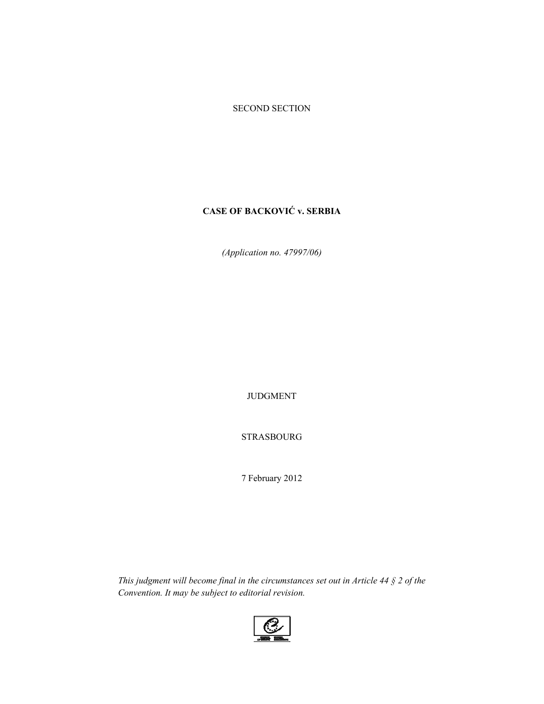### SECOND SECTION

# **CASE OF BACKOVIĆ v. SERBIA**

*(Application no. 47997/06)* 

JUDGMENT

STRASBOURG

7 February 2012

*This judgment will become final in the circumstances set out in Article 44 § 2 of the Convention. It may be subject to editorial revision.* 

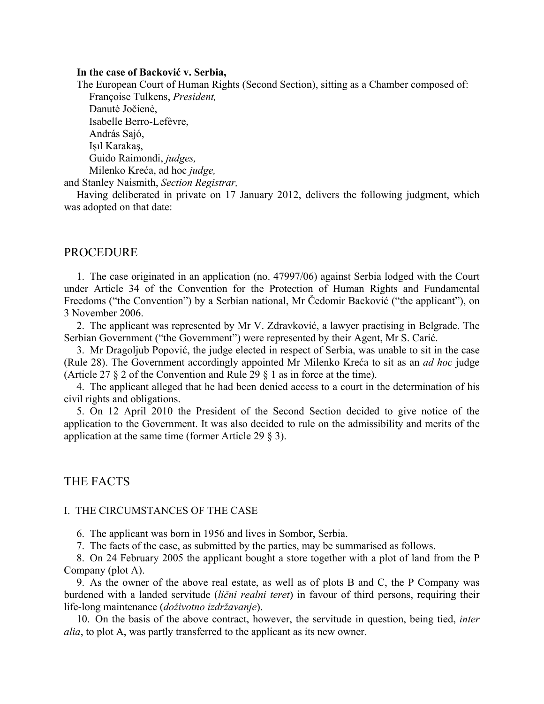### **In the case of Backović v. Serbia,**

The European Court of Human Rights (Second Section), sitting as a Chamber composed of: Françoise Tulkens, *President,*  Danutė Jočienė,

 Isabelle Berro-Lefèvre, András Sajó, Işıl Karakaş, Guido Raimondi, *judges,*  Milenko Kreća, ad hoc *judge,* 

and Stanley Naismith, *Section Registrar,* 

Having deliberated in private on 17 January 2012, delivers the following judgment, which was adopted on that date:

### PROCEDURE

1. The case originated in an application (no. 47997/06) against Serbia lodged with the Court under Article 34 of the Convention for the Protection of Human Rights and Fundamental Freedoms ("the Convention") by a Serbian national, Mr Čedomir Backović ("the applicant"), on 3 November 2006.

2. The applicant was represented by Mr V. Zdravković, a lawyer practising in Belgrade. The Serbian Government ("the Government") were represented by their Agent, Mr S. Carić.

3. Mr Dragoljub Popović, the judge elected in respect of Serbia, was unable to sit in the case (Rule 28). The Government accordingly appointed Mr Milenko Kreća to sit as an *ad hoc* judge (Article 27 § 2 of the Convention and Rule 29 § 1 as in force at the time).

4. The applicant alleged that he had been denied access to a court in the determination of his civil rights and obligations.

5. On 12 April 2010 the President of the Second Section decided to give notice of the application to the Government. It was also decided to rule on the admissibility and merits of the application at the same time (former Article 29 § 3).

# THE FACTS

### I. THE CIRCUMSTANCES OF THE CASE

6. The applicant was born in 1956 and lives in Sombor, Serbia.

7. The facts of the case, as submitted by the parties, may be summarised as follows.

8. On 24 February 2005 the applicant bought a store together with a plot of land from the P Company (plot A).

9. As the owner of the above real estate, as well as of plots B and C, the P Company was burdened with a landed servitude (*lični realni teret*) in favour of third persons, requiring their life-long maintenance (*doživotno izdržavanje*).

10. On the basis of the above contract, however, the servitude in question, being tied, *inter alia*, to plot A, was partly transferred to the applicant as its new owner.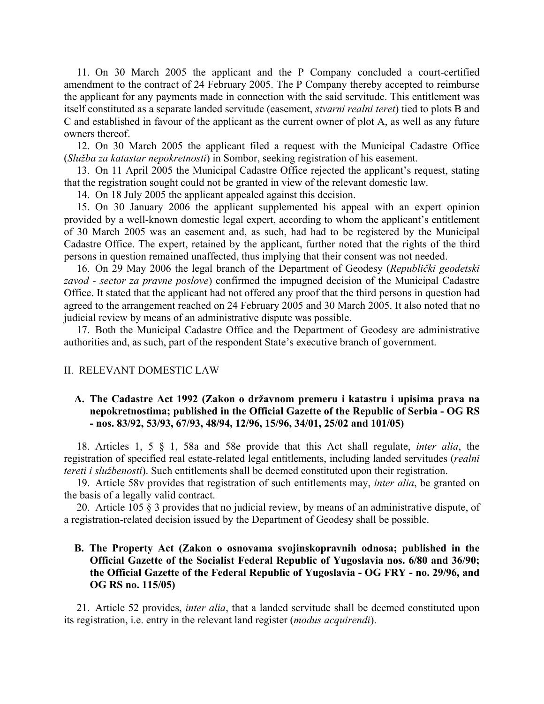11. On 30 March 2005 the applicant and the P Company concluded a court-certified amendment to the contract of 24 February 2005. The P Company thereby accepted to reimburse the applicant for any payments made in connection with the said servitude. This entitlement was itself constituted as a separate landed servitude (easement, *stvarni realni teret*) tied to plots B and C and established in favour of the applicant as the current owner of plot A, as well as any future owners thereof.

12. On 30 March 2005 the applicant filed a request with the Municipal Cadastre Office (*Služba za katastar nepokretnosti*) in Sombor, seeking registration of his easement.

13. On 11 April 2005 the Municipal Cadastre Office rejected the applicant's request, stating that the registration sought could not be granted in view of the relevant domestic law.

14. On 18 July 2005 the applicant appealed against this decision.

15. On 30 January 2006 the applicant supplemented his appeal with an expert opinion provided by a well-known domestic legal expert, according to whom the applicant's entitlement of 30 March 2005 was an easement and, as such, had had to be registered by the Municipal Cadastre Office. The expert, retained by the applicant, further noted that the rights of the third persons in question remained unaffected, thus implying that their consent was not needed.

16. On 29 May 2006 the legal branch of the Department of Geodesy (*Republički geodetski zavod - sector za pravne poslove*) confirmed the impugned decision of the Municipal Cadastre Office. It stated that the applicant had not offered any proof that the third persons in question had agreed to the arrangement reached on 24 February 2005 and 30 March 2005. It also noted that no judicial review by means of an administrative dispute was possible.

17. Both the Municipal Cadastre Office and the Department of Geodesy are administrative authorities and, as such, part of the respondent State's executive branch of government.

### II. RELEVANT DOMESTIC LAW

# **A. The Cadastre Act 1992 (Zakon o državnom premeru i katastru i upisima prava na nepokretnostima; published in the Official Gazette of the Republic of Serbia - OG RS - nos. 83/92, 53/93, 67/93, 48/94, 12/96, 15/96, 34/01, 25/02 and 101/05)**

18. Articles 1, 5 § 1, 58a and 58e provide that this Act shall regulate, *inter alia*, the registration of specified real estate-related legal entitlements, including landed servitudes (*realni tereti i službenosti*). Such entitlements shall be deemed constituted upon their registration.

19. Article 58v provides that registration of such entitlements may, *inter alia*, be granted on the basis of a legally valid contract.

20. Article 105 § 3 provides that no judicial review, by means of an administrative dispute, of a registration-related decision issued by the Department of Geodesy shall be possible.

# **B. The Property Act (Zakon o osnovama svojinskopravnih odnosa; published in the Official Gazette of the Socialist Federal Republic of Yugoslavia nos. 6/80 and 36/90; the Official Gazette of the Federal Republic of Yugoslavia - OG FRY - no. 29/96, and OG RS no. 115/05)**

21. Article 52 provides, *inter alia*, that a landed servitude shall be deemed constituted upon its registration, i.e. entry in the relevant land register (*modus acquirendi*).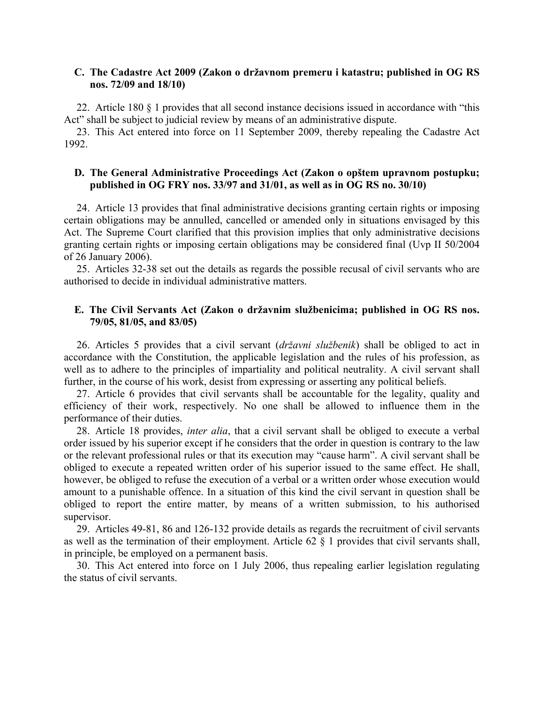### **C. The Cadastre Act 2009 (Zakon o državnom premeru i katastru; published in OG RS nos. 72/09 and 18/10)**

22. Article 180 § 1 provides that all second instance decisions issued in accordance with "this Act" shall be subject to judicial review by means of an administrative dispute.

23. This Act entered into force on 11 September 2009, thereby repealing the Cadastre Act 1992.

# **D. The General Administrative Proceedings Act (Zakon o opštem upravnom postupku; published in OG FRY nos. 33/97 and 31/01, as well as in OG RS no. 30/10)**

24. Article 13 provides that final administrative decisions granting certain rights or imposing certain obligations may be annulled, cancelled or amended only in situations envisaged by this Act. The Supreme Court clarified that this provision implies that only administrative decisions granting certain rights or imposing certain obligations may be considered final (Uvp II 50/2004 of 26 January 2006).

25. Articles 32-38 set out the details as regards the possible recusal of civil servants who are authorised to decide in individual administrative matters.

### **E. The Civil Servants Act (Zakon o državnim službenicima; published in OG RS nos. 79/05, 81/05, and 83/05)**

26. Articles 5 provides that a civil servant (*državni službenik*) shall be obliged to act in accordance with the Constitution, the applicable legislation and the rules of his profession, as well as to adhere to the principles of impartiality and political neutrality. A civil servant shall further, in the course of his work, desist from expressing or asserting any political beliefs.

27. Article 6 provides that civil servants shall be accountable for the legality, quality and efficiency of their work, respectively. No one shall be allowed to influence them in the performance of their duties.

28. Article 18 provides, *inter alia*, that a civil servant shall be obliged to execute a verbal order issued by his superior except if he considers that the order in question is contrary to the law or the relevant professional rules or that its execution may "cause harm". A civil servant shall be obliged to execute a repeated written order of his superior issued to the same effect. He shall, however, be obliged to refuse the execution of a verbal or a written order whose execution would amount to a punishable offence. In a situation of this kind the civil servant in question shall be obliged to report the entire matter, by means of a written submission, to his authorised supervisor.

29. Articles 49-81, 86 and 126-132 provide details as regards the recruitment of civil servants as well as the termination of their employment. Article 62 § 1 provides that civil servants shall, in principle, be employed on a permanent basis.

30. This Act entered into force on 1 July 2006, thus repealing earlier legislation regulating the status of civil servants.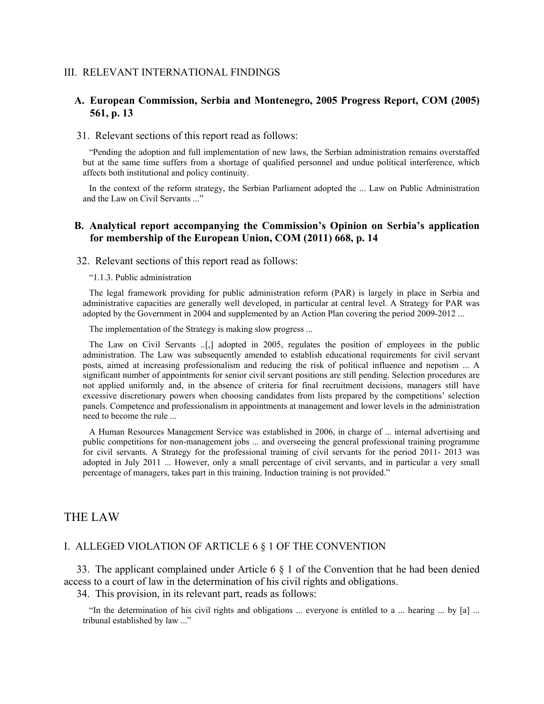### III. RELEVANT INTERNATIONAL FINDINGS

### **A. European Commission, Serbia and Montenegro, 2005 Progress Report, COM (2005) 561, p. 13**

#### 31. Relevant sections of this report read as follows:

"Pending the adoption and full implementation of new laws, the Serbian administration remains overstaffed but at the same time suffers from a shortage of qualified personnel and undue political interference, which affects both institutional and policy continuity.

In the context of the reform strategy, the Serbian Parliament adopted the ... Law on Public Administration and the Law on Civil Servants ..."

### **B. Analytical report accompanying the Commission's Opinion on Serbia's application for membership of the European Union, COM (2011) 668, p. 14**

32. Relevant sections of this report read as follows:

"1.1.3. Public administration

The legal framework providing for public administration reform (PAR) is largely in place in Serbia and administrative capacities are generally well developed, in particular at central level. A Strategy for PAR was adopted by the Government in 2004 and supplemented by an Action Plan covering the period 2009-2012 ...

The implementation of the Strategy is making slow progress ...

The Law on Civil Servants ..[,] adopted in 2005, regulates the position of employees in the public administration. The Law was subsequently amended to establish educational requirements for civil servant posts, aimed at increasing professionalism and reducing the risk of political influence and nepotism ... A significant number of appointments for senior civil servant positions are still pending. Selection procedures are not applied uniformly and, in the absence of criteria for final recruitment decisions, managers still have excessive discretionary powers when choosing candidates from lists prepared by the competitions' selection panels. Competence and professionalism in appointments at management and lower levels in the administration need to become the rule ...

A Human Resources Management Service was established in 2006, in charge of ... internal advertising and public competitions for non-management jobs ... and overseeing the general professional training programme for civil servants. A Strategy for the professional training of civil servants for the period 2011- 2013 was adopted in July 2011 ... However, only a small percentage of civil servants, and in particular a very small percentage of managers, takes part in this training. Induction training is not provided."

# THE LAW

#### I. ALLEGED VIOLATION OF ARTICLE 6 § 1 OF THE CONVENTION

33. The applicant complained under Article 6 § 1 of the Convention that he had been denied access to a court of law in the determination of his civil rights and obligations.

34. This provision, in its relevant part, reads as follows:

"In the determination of his civil rights and obligations ... everyone is entitled to a ... hearing ... by [a] ... tribunal established by law ..."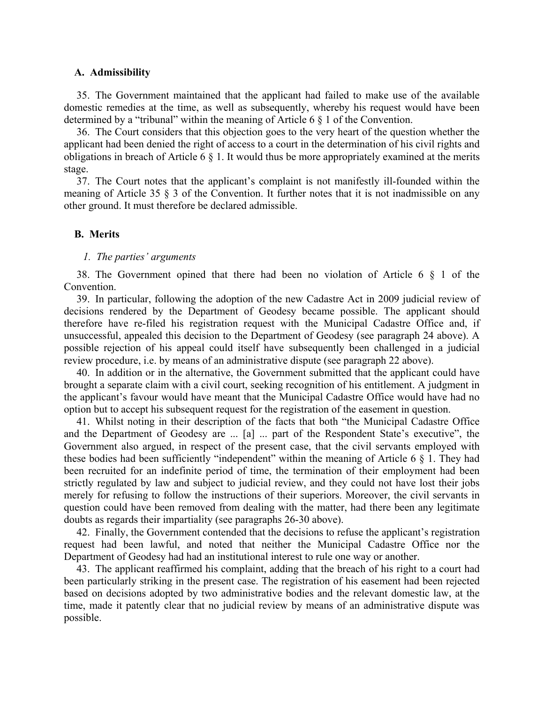### **A. Admissibility**

35. The Government maintained that the applicant had failed to make use of the available domestic remedies at the time, as well as subsequently, whereby his request would have been determined by a "tribunal" within the meaning of Article 6 § 1 of the Convention.

36. The Court considers that this objection goes to the very heart of the question whether the applicant had been denied the right of access to a court in the determination of his civil rights and obligations in breach of Article 6 § 1. It would thus be more appropriately examined at the merits stage.

37. The Court notes that the applicant's complaint is not manifestly ill-founded within the meaning of Article 35 § 3 of the Convention. It further notes that it is not inadmissible on any other ground. It must therefore be declared admissible.

#### **B. Merits**

#### *1. The parties' arguments*

38. The Government opined that there had been no violation of Article 6 § 1 of the Convention.

39. In particular, following the adoption of the new Cadastre Act in 2009 judicial review of decisions rendered by the Department of Geodesy became possible. The applicant should therefore have re-filed his registration request with the Municipal Cadastre Office and, if unsuccessful, appealed this decision to the Department of Geodesy (see paragraph 24 above). A possible rejection of his appeal could itself have subsequently been challenged in a judicial review procedure, i.e. by means of an administrative dispute (see paragraph 22 above).

40. In addition or in the alternative, the Government submitted that the applicant could have brought a separate claim with a civil court, seeking recognition of his entitlement. A judgment in the applicant's favour would have meant that the Municipal Cadastre Office would have had no option but to accept his subsequent request for the registration of the easement in question.

41. Whilst noting in their description of the facts that both "the Municipal Cadastre Office and the Department of Geodesy are ... [a] ... part of the Respondent State's executive", the Government also argued, in respect of the present case, that the civil servants employed with these bodies had been sufficiently "independent" within the meaning of Article 6  $\S$  1. They had been recruited for an indefinite period of time, the termination of their employment had been strictly regulated by law and subject to judicial review, and they could not have lost their jobs merely for refusing to follow the instructions of their superiors. Moreover, the civil servants in question could have been removed from dealing with the matter, had there been any legitimate doubts as regards their impartiality (see paragraphs 26-30 above).

42. Finally, the Government contended that the decisions to refuse the applicant's registration request had been lawful, and noted that neither the Municipal Cadastre Office nor the Department of Geodesy had had an institutional interest to rule one way or another.

43. The applicant reaffirmed his complaint, adding that the breach of his right to a court had been particularly striking in the present case. The registration of his easement had been rejected based on decisions adopted by two administrative bodies and the relevant domestic law, at the time, made it patently clear that no judicial review by means of an administrative dispute was possible.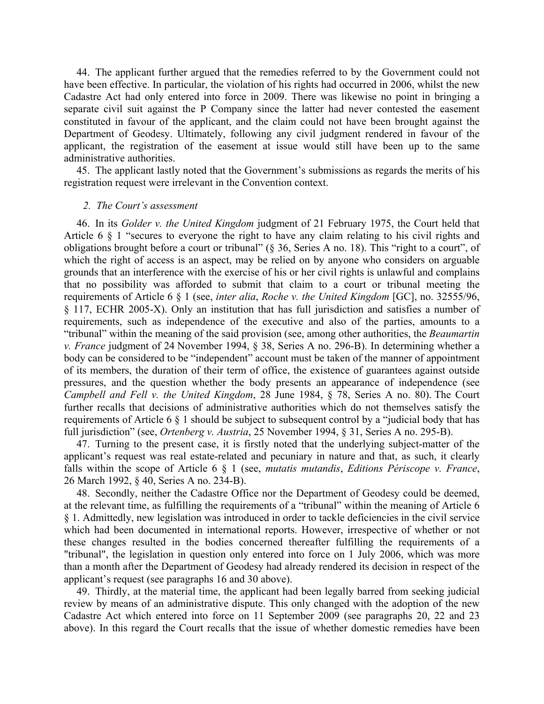44. The applicant further argued that the remedies referred to by the Government could not have been effective. In particular, the violation of his rights had occurred in 2006, whilst the new Cadastre Act had only entered into force in 2009. There was likewise no point in bringing a separate civil suit against the P Company since the latter had never contested the easement constituted in favour of the applicant, and the claim could not have been brought against the Department of Geodesy. Ultimately, following any civil judgment rendered in favour of the applicant, the registration of the easement at issue would still have been up to the same administrative authorities.

45. The applicant lastly noted that the Government's submissions as regards the merits of his registration request were irrelevant in the Convention context.

#### *2. The Court's assessment*

46. In its *Golder v. the United Kingdom* judgment of 21 February 1975, the Court held that Article 6 § 1 "secures to everyone the right to have any claim relating to his civil rights and obligations brought before a court or tribunal" (§ 36, Series A no. 18). This "right to a court", of which the right of access is an aspect, may be relied on by anyone who considers on arguable grounds that an interference with the exercise of his or her civil rights is unlawful and complains that no possibility was afforded to submit that claim to a court or tribunal meeting the requirements of Article 6 § 1 (see, *inter alia*, *Roche v. the United Kingdom* [GC], no. 32555/96, § 117, ECHR 2005-X). Only an institution that has full jurisdiction and satisfies a number of requirements, such as independence of the executive and also of the parties, amounts to a "tribunal" within the meaning of the said provision (see, among other authorities, the *Beaumartin v. France* judgment of 24 November 1994, § 38, Series A no. 296-B). In determining whether a body can be considered to be "independent" account must be taken of the manner of appointment of its members, the duration of their term of office, the existence of guarantees against outside pressures, and the question whether the body presents an appearance of independence (see *Campbell and Fell v. the United Kingdom*, 28 June 1984, § 78, Series A no. 80). The Court further recalls that decisions of administrative authorities which do not themselves satisfy the requirements of Article 6 § 1 should be subject to subsequent control by a "judicial body that has full jurisdiction" (see, *Ortenberg v. Austria*, 25 November 1994, § 31, Series A no. 295-B).

47. Turning to the present case, it is firstly noted that the underlying subject-matter of the applicant's request was real estate-related and pecuniary in nature and that, as such, it clearly falls within the scope of Article 6 § 1 (see, *mutatis mutandis*, *Editions Périscope v. France*, 26 March 1992, § 40, Series A no. 234-B).

48. Secondly, neither the Cadastre Office nor the Department of Geodesy could be deemed, at the relevant time, as fulfilling the requirements of a "tribunal" within the meaning of Article 6 § 1. Admittedly, new legislation was introduced in order to tackle deficiencies in the civil service which had been documented in international reports. However, irrespective of whether or not these changes resulted in the bodies concerned thereafter fulfilling the requirements of a "tribunal", the legislation in question only entered into force on 1 July 2006, which was more than a month after the Department of Geodesy had already rendered its decision in respect of the applicant's request (see paragraphs 16 and 30 above).

49. Thirdly, at the material time, the applicant had been legally barred from seeking judicial review by means of an administrative dispute. This only changed with the adoption of the new Cadastre Act which entered into force on 11 September 2009 (see paragraphs 20, 22 and 23 above). In this regard the Court recalls that the issue of whether domestic remedies have been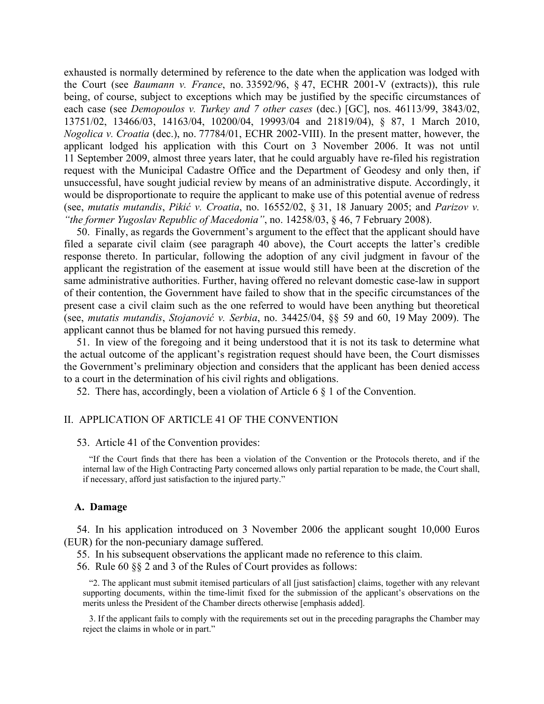exhausted is normally determined by reference to the date when the application was lodged with the Court (see *Baumann v. France*, no. 33592/96, § 47, ECHR 2001-V (extracts)), this rule being, of course, subject to exceptions which may be justified by the specific circumstances of each case (see *Demopoulos v. Turkey and 7 other cases* (dec.) [GC], nos. 46113/99, 3843/02, 13751/02, 13466/03, 14163/04, 10200/04, 19993/04 and 21819/04), § 87, 1 March 2010, *Nogolica v. Croatia* (dec.), no. 77784/01, ECHR 2002-VIII). In the present matter, however, the applicant lodged his application with this Court on 3 November 2006. It was not until 11 September 2009, almost three years later, that he could arguably have re-filed his registration request with the Municipal Cadastre Office and the Department of Geodesy and only then, if unsuccessful, have sought judicial review by means of an administrative dispute. Accordingly, it would be disproportionate to require the applicant to make use of this potential avenue of redress (see, *mutatis mutandis*, *Pikić v. Croatia*, no. 16552/02, § 31, 18 January 2005; and *Parizov v. "the former Yugoslav Republic of Macedonia"*, no. 14258/03, § 46, 7 February 2008).

50. Finally, as regards the Government's argument to the effect that the applicant should have filed a separate civil claim (see paragraph 40 above), the Court accepts the latter's credible response thereto. In particular, following the adoption of any civil judgment in favour of the applicant the registration of the easement at issue would still have been at the discretion of the same administrative authorities. Further, having offered no relevant domestic case-law in support of their contention, the Government have failed to show that in the specific circumstances of the present case a civil claim such as the one referred to would have been anything but theoretical (see, *mutatis mutandis*, *Stojanović v. Serbia*, no. 34425/04, §§ 59 and 60, 19 May 2009). The applicant cannot thus be blamed for not having pursued this remedy.

51. In view of the foregoing and it being understood that it is not its task to determine what the actual outcome of the applicant's registration request should have been, the Court dismisses the Government's preliminary objection and considers that the applicant has been denied access to a court in the determination of his civil rights and obligations.

52. There has, accordingly, been a violation of Article 6 § 1 of the Convention.

#### II. APPLICATION OF ARTICLE 41 OF THE CONVENTION

#### 53. Article 41 of the Convention provides:

"If the Court finds that there has been a violation of the Convention or the Protocols thereto, and if the internal law of the High Contracting Party concerned allows only partial reparation to be made, the Court shall, if necessary, afford just satisfaction to the injured party."

#### **A. Damage**

54. In his application introduced on 3 November 2006 the applicant sought 10,000 Euros (EUR) for the non-pecuniary damage suffered.

55. In his subsequent observations the applicant made no reference to this claim.

56. Rule 60 §§ 2 and 3 of the Rules of Court provides as follows:

"2. The applicant must submit itemised particulars of all [just satisfaction] claims, together with any relevant supporting documents, within the time-limit fixed for the submission of the applicant's observations on the merits unless the President of the Chamber directs otherwise [emphasis added].

3. If the applicant fails to comply with the requirements set out in the preceding paragraphs the Chamber may reject the claims in whole or in part."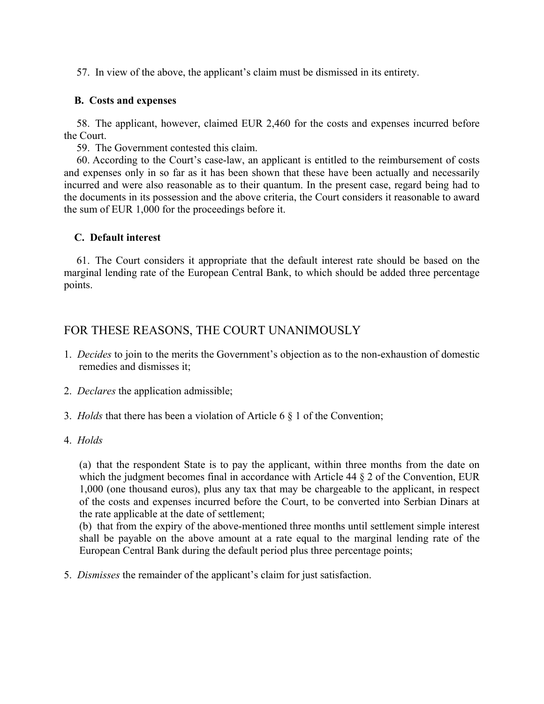57. In view of the above, the applicant's claim must be dismissed in its entirety.

# **B. Costs and expenses**

58. The applicant, however, claimed EUR 2,460 for the costs and expenses incurred before the Court.

59. The Government contested this claim.

60. According to the Court's case-law, an applicant is entitled to the reimbursement of costs and expenses only in so far as it has been shown that these have been actually and necessarily incurred and were also reasonable as to their quantum. In the present case, regard being had to the documents in its possession and the above criteria, the Court considers it reasonable to award the sum of EUR 1,000 for the proceedings before it.

# **C. Default interest**

61. The Court considers it appropriate that the default interest rate should be based on the marginal lending rate of the European Central Bank, to which should be added three percentage points.

# FOR THESE REASONS, THE COURT UNANIMOUSLY

- 1. *Decides* to join to the merits the Government's objection as to the non-exhaustion of domestic remedies and dismisses it;
- 2. *Declares* the application admissible;
- 3. *Holds* that there has been a violation of Article 6 § 1 of the Convention;
- 4. *Holds*

(a) that the respondent State is to pay the applicant, within three months from the date on which the judgment becomes final in accordance with Article 44 § 2 of the Convention, EUR 1,000 (one thousand euros), plus any tax that may be chargeable to the applicant, in respect of the costs and expenses incurred before the Court, to be converted into Serbian Dinars at the rate applicable at the date of settlement;

(b) that from the expiry of the above-mentioned three months until settlement simple interest shall be payable on the above amount at a rate equal to the marginal lending rate of the European Central Bank during the default period plus three percentage points;

5. *Dismisses* the remainder of the applicant's claim for just satisfaction.